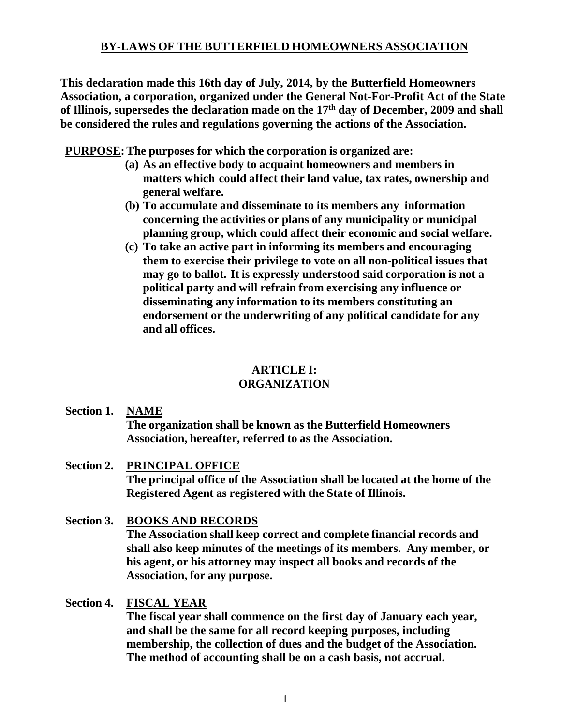# **BY-LAWS OF THE BUTTERFIELD HOMEOWNERS ASSOCIATION**

**This declaration made this 16th day of July, 2014, by the Butterfield Homeowners Association, a corporation, organized under the General Not-For-Profit Act of the State of Illinois, supersedes the declaration made on the 17th day of December, 2009 and shall be considered the rules and regulations governing the actions of the Association.**

**PURPOSE:The purposes for which the corporation is organized are:**

- **(a) As an effective body to acquaint homeowners and members in matters which could affect their land value, tax rates, ownership and general welfare.**
- **(b) To accumulate and disseminate to its members any information concerning the activities or plans of any municipality or municipal planning group, which could affect their economic and social welfare.**
- **(c) To take an active part in informing its members and encouraging them to exercise their privilege to vote on all non-political issues that may go to ballot. It is expressly understood said corporation is not a political party and will refrain from exercising any influence or disseminating any information to its members constituting an endorsement or the underwriting of any political candidate for any and all offices.**

# **ARTICLE I:**

# **ORGANIZATION**

**Section 1. NAME**

**The organization shall be known as the Butterfield Homeowners Association, hereafter, referred to as the Association.**

- **Section 2. PRINCIPAL OFFICE The principal office of the Association shall be located at the home of the Registered Agent as registered with the State of Illinois.**
- **Section 3. BOOKS AND RECORDS The Association shall keep correct and complete financial records and shall also keep minutes of the meetings of its members. Any member, or his agent, or his attorney may inspect all books and records of the Association, for any purpose.**

# **Section 4. FISCAL YEAR**

**The fiscal year shall commence on the first day of January each year, and shall be the same for all record keeping purposes, including membership, the collection of dues and the budget of the Association. The method of accounting shall be on a cash basis, not accrual.**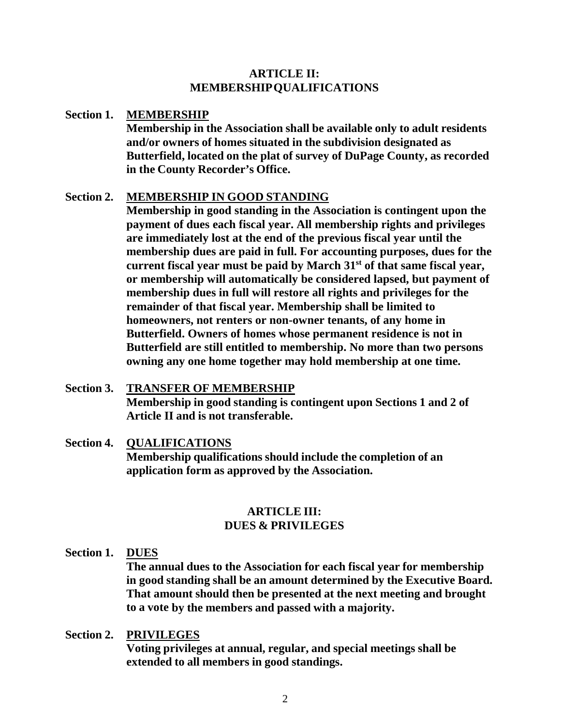# **ARTICLE II: MEMBERSHIPQUALIFICATIONS**

## **Section 1. MEMBERSHIP**

**Membership in the Association shall be available only to adult residents and/or owners of homes situated in the subdivision designated as Butterfield, located on the plat of survey of DuPage County, as recorded in the County Recorder's Office.**

## **Section 2. MEMBERSHIP IN GOOD STANDING**

**Membership in good standing in the Association is contingent upon the payment of dues each fiscal year. All membership rights and privileges are immediately lost at the end of the previous fiscal year until the membership dues are paid in full. For accounting purposes, dues for the current fiscal year must be paid by March 31st of that same fiscal year, or membership will automatically be considered lapsed, but payment of membership dues in full will restore all rights and privileges for the remainder of that fiscal year. Membership shall be limited to homeowners, not renters or non-owner tenants, of any home in Butterfield. Owners of homes whose permanent residence is not in Butterfield are still entitled to membership. No more than two persons owning any one home together may hold membership at one time.**

- **Section 3. TRANSFER OF MEMBERSHIP Membership in good standing is contingent upon Sections 1 and 2 of Article II and is not transferable.**
- **Section 4. QUALIFICATIONS Membership qualifications should include the completion of an application form as approved by the Association.**

# **ARTICLE III: DUES & PRIVILEGES**

**Section 1. DUES**

**The annual dues to the Association for each fiscal year for membership in good standing shall be an amount determined by the Executive Board. That amount should then be presented at the next meeting and brought to a vote by the members and passed with a majority.**

## **Section 2. PRIVILEGES**

**Voting privileges at annual, regular, and special meetings shall be extended to all members in good standings.**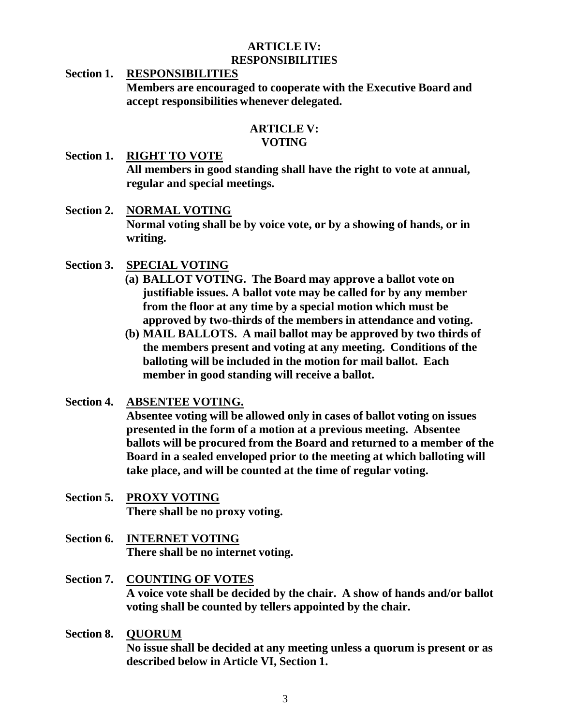## **ARTICLE IV: RESPONSIBILITIES**

**Section 1. RESPONSIBILITIES Members are encouraged to cooperate with the Executive Board and accept responsibilities whenever delegated.**

# **ARTICLE V: VOTING**

- **Section 1. RIGHT TO VOTE All members in good standing shall have the right to vote at annual, regular and special meetings.**
- **Section 2. NORMAL VOTING Normal voting shall be by voice vote, or by a showing of hands, or in writing.**
- **Section 3. SPECIAL VOTING**
	- **(a) BALLOT VOTING. The Board may approve a ballot vote on justifiable issues. A ballot vote may be called for by any member from the floor at any time by a special motion which must be approved by two-thirds of the members in attendance and voting.**
	- **(b) MAIL BALLOTS. A mail ballot may be approved by two thirds of the members present and voting at any meeting. Conditions of the balloting will be included in the motion for mail ballot. Each member in good standing will receive a ballot.**
- **Section 4. ABSENTEE VOTING.**

**Absentee voting will be allowed only in cases of ballot voting on issues presented in the form of a motion at a previous meeting. Absentee ballots will be procured from the Board and returned to a member of the Board in a sealed enveloped prior to the meeting at which balloting will take place, and will be counted at the time of regular voting.**

- **Section 5. PROXY VOTING There shall be no proxy voting.**
- **Section 6. INTERNET VOTING There shall be no internet voting.**
- **Section 7. COUNTING OF VOTES A voice vote shall be decided by the chair. A show of hands and/or ballot voting shall be counted by tellers appointed by the chair.**
- **Section 8. QUORUM No issue shall be decided at any meeting unless a quorum is present or as described below in Article VI, Section 1.**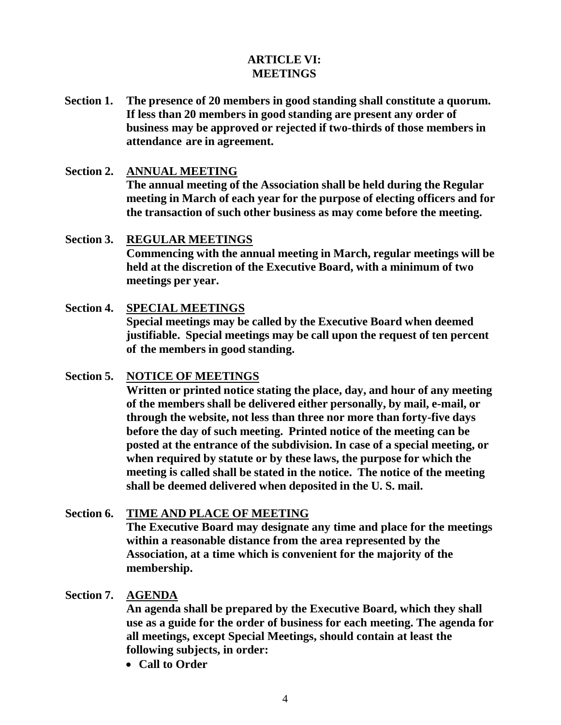# **ARTICLE VI: MEETINGS**

- **Section 1. The presence of 20 members in good standing shall constitute a quorum. If less than 20 members in good standing are present any order of business may be approved or rejected if two-thirds of those members in attendance are in agreement.**
- **Section 2. ANNUAL MEETING The annual meeting of the Association shall be held during the Regular meeting in March of each year for the purpose of electing officers and for the transaction of such other business as may come before the meeting.**
- **Section 3. REGULAR MEETINGS Commencing with the annual meeting in March, regular meetings will be held at the discretion of the Executive Board, with a minimum of two meetings per year.**
- **Section 4. SPECIAL MEETINGS Special meetings may be called by the Executive Board when deemed justifiable. Special meetings may be call upon the request of ten percent of the members in good standing.**
- **Section 5. NOTICE OF MEETINGS**

**Written or printed notice stating the place, day, and hour of any meeting of the members shall be delivered either personally, by mail, e-mail, or through the website, not less than three nor more than forty-five days before the day of such meeting. Printed notice of the meeting can be posted at the entrance of the subdivision. In case of a special meeting, or when required by statute or by these laws, the purpose for which the meeting is called shall be stated in the notice. The notice of the meeting shall be deemed delivered when deposited in the U. S. mail.**

- **Section 6. TIME AND PLACE OF MEETING The Executive Board may designate any time and place for the meetings within a reasonable distance from the area represented by the Association, at a time which is convenient for the majority of the membership.**
- **Section 7. AGENDA**

**An agenda shall be prepared by the Executive Board, which they shall use as a guide for the order of business for each meeting. The agenda for all meetings, except Special Meetings, should contain at least the following subjects, in order:**

• **Call to Order**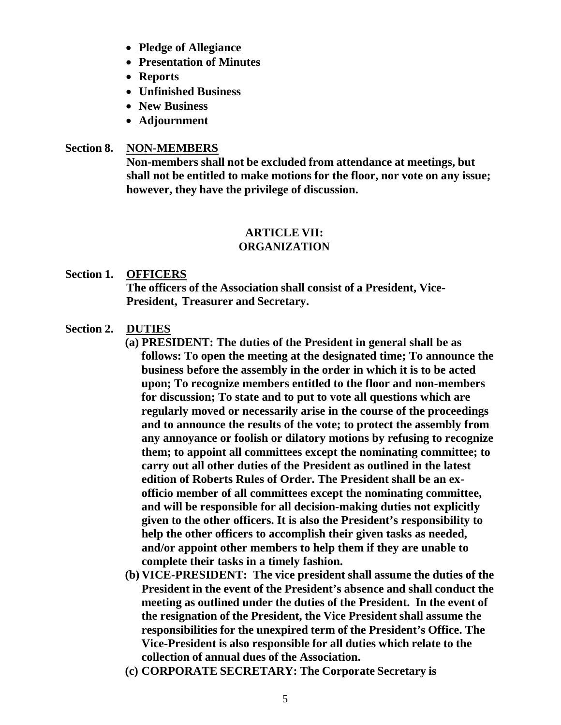- **Pledge of Allegiance**
- **Presentation of Minutes**
- **Reports**
- **Unfinished Business**
- **New Business**
- **Adjournment**

#### **Section 8. NON-MEMBERS**

**Non-members shall not be excluded from attendance at meetings, but shall not be entitled to make motions for the floor, nor vote on any issue; however, they have the privilege of discussion.**

# **ARTICLE VII:**

## **ORGANIZATION**

## **Section 1. OFFICERS**

**The officers of the Association shall consist of a President, Vice-President, Treasurer and Secretary.**

- **Section 2. DUTIES**
	- **(a) PRESIDENT: The duties of the President in general shall be as follows: To open the meeting at the designated time; To announce the business before the assembly in the order in which it is to be acted upon; To recognize members entitled to the floor and non-members for discussion; To state and to put to vote all questions which are regularly moved or necessarily arise in the course of the proceedings and to announce the results of the vote; to protect the assembly from any annoyance or foolish or dilatory motions by refusing to recognize them; to appoint all committees except the nominating committee; to carry out all other duties of the President as outlined in the latest edition of Roberts Rules of Order. The President shall be an exofficio member of all committees except the nominating committee, and will be responsible for all decision-making duties not explicitly given to the other officers. It is also the President's responsibility to help the other officers to accomplish their given tasks as needed, and/or appoint other members to help them if they are unable to complete their tasks in a timely fashion.**
	- **(b) VICE-PRESIDENT: The vice president shall assume the duties of the President in the event of the President's absence and shall conduct the meeting as outlined under the duties of the President. In the event of the resignation of the President, the Vice President shall assume the responsibilities for the unexpired term of the President's Office. The Vice-President is also responsible for all duties which relate to the collection of annual dues of the Association.**
	- **(c) CORPORATE SECRETARY: The Corporate Secretary is**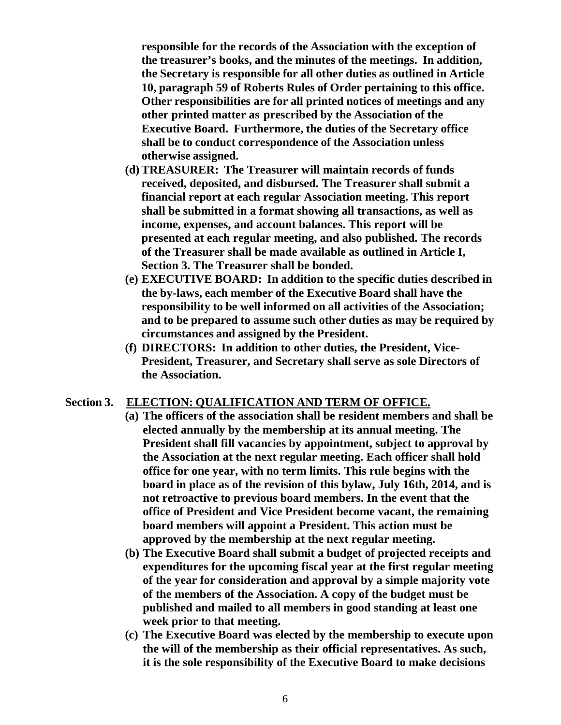**responsible for the records of the Association with the exception of the treasurer's books, and the minutes of the meetings. In addition, the Secretary is responsible for all other duties as outlined in Article 10, paragraph 59 of Roberts Rules of Order pertaining to this office. Other responsibilities are for all printed notices of meetings and any other printed matter as prescribed by the Association of the Executive Board. Furthermore, the duties of the Secretary office shall be to conduct correspondence of the Association unless otherwise assigned.**

- **(d) TREASURER: The Treasurer will maintain records of funds received, deposited, and disbursed. The Treasurer shall submit a financial report at each regular Association meeting. This report shall be submitted in a format showing all transactions, as well as income, expenses, and account balances. This report will be presented at each regular meeting, and also published. The records of the Treasurer shall be made available as outlined in Article I, Section 3. The Treasurer shall be bonded.**
- **(e) EXECUTIVE BOARD: In addition to the specific duties described in the by-laws, each member of the Executive Board shall have the responsibility to be well informed on all activities of the Association; and to be prepared to assume such other duties as may be required by circumstances and assigned by the President.**
- **(f) DIRECTORS: In addition to other duties, the President, Vice-President, Treasurer, and Secretary shall serve as sole Directors of the Association.**

#### **Section 3. ELECTION: QUALIFICATION AND TERM OF OFFICE.**

- **(a) The officers of the association shall be resident members and shall be elected annually by the membership at its annual meeting. The President shall fill vacancies by appointment, subject to approval by the Association at the next regular meeting. Each officer shall hold office for one year, with no term limits. This rule begins with the board in place as of the revision of this bylaw, July 16th, 2014, and is not retroactive to previous board members. In the event that the office of President and Vice President become vacant, the remaining board members will appoint a President. This action must be approved by the membership at the next regular meeting.**
- **(b) The Executive Board shall submit a budget of projected receipts and expenditures for the upcoming fiscal year at the first regular meeting of the year for consideration and approval by a simple majority vote of the members of the Association. A copy of the budget must be published and mailed to all members in good standing at least one week prior to that meeting.**
- **(c) The Executive Board was elected by the membership to execute upon the will of the membership as their official representatives. As such, it is the sole responsibility of the Executive Board to make decisions**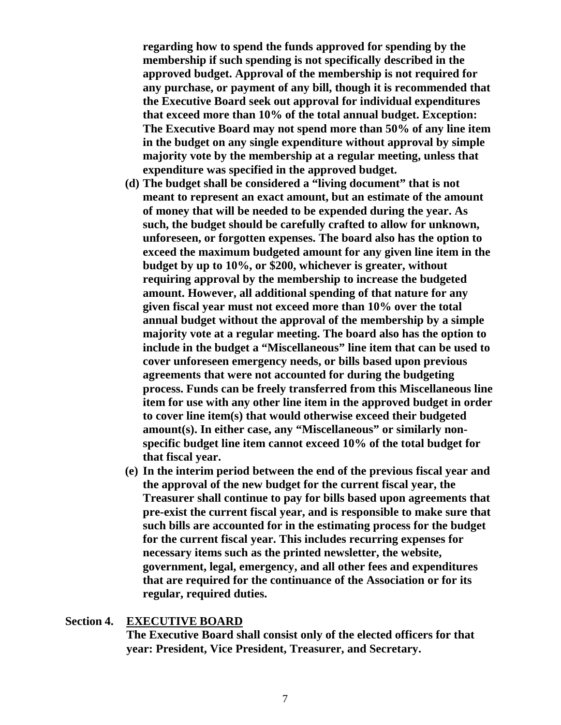**regarding how to spend the funds approved for spending by the membership if such spending is not specifically described in the approved budget. Approval of the membership is not required for any purchase, or payment of any bill, though it is recommended that the Executive Board seek out approval for individual expenditures that exceed more than 10% of the total annual budget. Exception: The Executive Board may not spend more than 50% of any line item in the budget on any single expenditure without approval by simple majority vote by the membership at a regular meeting, unless that expenditure was specified in the approved budget.**

- **(d) The budget shall be considered a "living document" that is not meant to represent an exact amount, but an estimate of the amount of money that will be needed to be expended during the year. As such, the budget should be carefully crafted to allow for unknown, unforeseen, or forgotten expenses. The board also has the option to exceed the maximum budgeted amount for any given line item in the budget by up to 10%, or \$200, whichever is greater, without requiring approval by the membership to increase the budgeted amount. However, all additional spending of that nature for any given fiscal year must not exceed more than 10% over the total annual budget without the approval of the membership by a simple majority vote at a regular meeting. The board also has the option to include in the budget a "Miscellaneous" line item that can be used to cover unforeseen emergency needs, or bills based upon previous agreements that were not accounted for during the budgeting process. Funds can be freely transferred from this Miscellaneous line item for use with any other line item in the approved budget in order to cover line item(s) that would otherwise exceed their budgeted amount(s). In either case, any "Miscellaneous" or similarly nonspecific budget line item cannot exceed 10% of the total budget for that fiscal year.**
- **(e) In the interim period between the end of the previous fiscal year and the approval of the new budget for the current fiscal year, the Treasurer shall continue to pay for bills based upon agreements that pre-exist the current fiscal year, and is responsible to make sure that such bills are accounted for in the estimating process for the budget for the current fiscal year. This includes recurring expenses for necessary items such as the printed newsletter, the website, government, legal, emergency, and all other fees and expenditures that are required for the continuance of the Association or for its regular, required duties.**

#### **Section 4. EXECUTIVE BOARD**

**The Executive Board shall consist only of the elected officers for that year: President, Vice President, Treasurer, and Secretary.**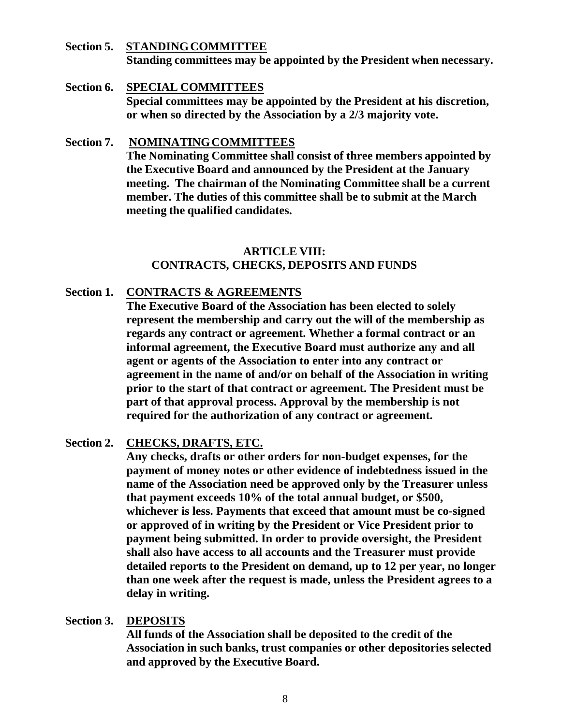- **Section 5. STANDINGCOMMITTEE Standing committees may be appointed by the President when necessary.**
- **Section 6. SPECIAL COMMITTEES Special committees may be appointed by the President at his discretion, or when so directed by the Association by a 2/3 majority vote.**
- **Section 7. NOMINATINGCOMMITTEES The Nominating Committee shall consist of three members appointed by the Executive Board and announced by the President at the January meeting. The chairman of the Nominating Committee shall be a current member. The duties of this committee shall be to submit at the March meeting the qualified candidates.**

# **ARTICLE VIII: CONTRACTS, CHECKS, DEPOSITS AND FUNDS**

## **Section 1. CONTRACTS & AGREEMENTS**

**The Executive Board of the Association has been elected to solely represent the membership and carry out the will of the membership as regards any contract or agreement. Whether a formal contract or an informal agreement, the Executive Board must authorize any and all agent or agents of the Association to enter into any contract or agreement in the name of and/or on behalf of the Association in writing prior to the start of that contract or agreement. The President must be part of that approval process. Approval by the membership is not required for the authorization of any contract or agreement.**

#### **Section 2. CHECKS, DRAFTS, ETC.**

**Any checks, drafts or other orders for non-budget expenses, for the payment of money notes or other evidence of indebtedness issued in the name of the Association need be approved only by the Treasurer unless that payment exceeds 10% of the total annual budget, or \$500, whichever is less. Payments that exceed that amount must be co-signed or approved of in writing by the President or Vice President prior to payment being submitted. In order to provide oversight, the President shall also have access to all accounts and the Treasurer must provide detailed reports to the President on demand, up to 12 per year, no longer than one week after the request is made, unless the President agrees to a delay in writing.**

#### **Section 3. DEPOSITS**

**All funds of the Association shall be deposited to the credit of the Association in such banks, trust companies or other depositories selected and approved by the Executive Board.**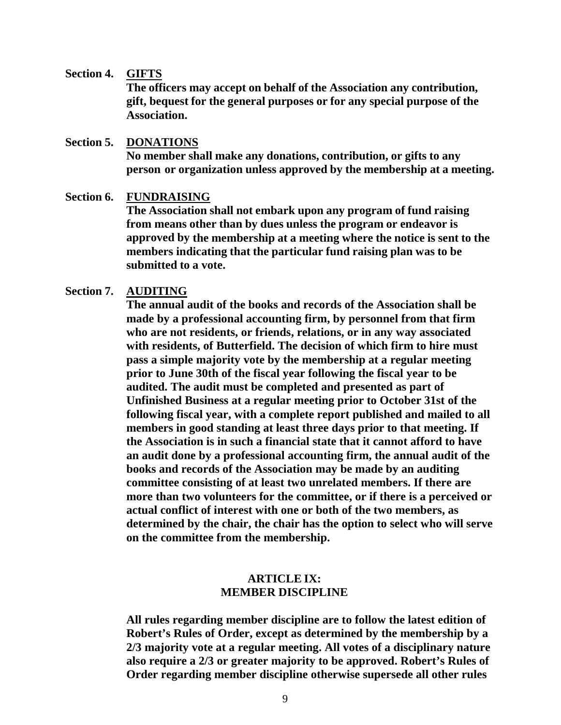#### **Section 4. GIFTS**

**The officers may accept on behalf of the Association any contribution, gift, bequest for the general purposes or for any special purpose of the Association.**

#### **Section 5. DONATIONS**

**No member shall make any donations, contribution, or gifts to any person or organization unless approved by the membership at a meeting.**

#### **Section 6. FUNDRAISING**

**The Association shall not embark upon any program of fund raising from means other than by dues unless the program or endeavor is approved by the membership at a meeting where the notice is sent to the members indicating that the particular fund raising plan was to be submitted to a vote.**

#### **Section 7. AUDITING**

**The annual audit of the books and records of the Association shall be made by a professional accounting firm, by personnel from that firm who are not residents, or friends, relations, or in any way associated with residents, of Butterfield. The decision of which firm to hire must pass a simple majority vote by the membership at a regular meeting prior to June 30th of the fiscal year following the fiscal year to be audited. The audit must be completed and presented as part of Unfinished Business at a regular meeting prior to October 31st of the following fiscal year, with a complete report published and mailed to all members in good standing at least three days prior to that meeting. If the Association is in such a financial state that it cannot afford to have an audit done by a professional accounting firm, the annual audit of the books and records of the Association may be made by an auditing committee consisting of at least two unrelated members. If there are more than two volunteers for the committee, or if there is a perceived or actual conflict of interest with one or both of the two members, as determined by the chair, the chair has the option to select who will serve on the committee from the membership.**

## **ARTICLE IX: MEMBER DISCIPLINE**

**All rules regarding member discipline are to follow the latest edition of Robert's Rules of Order, except as determined by the membership by a 2/3 majority vote at a regular meeting. All votes of a disciplinary nature also require a 2/3 or greater majority to be approved. Robert's Rules of Order regarding member discipline otherwise supersede all other rules**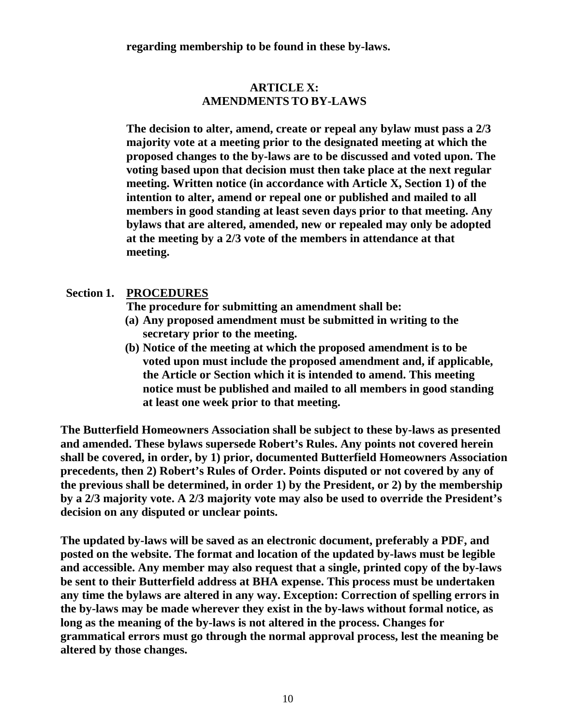**regarding membership to be found in these by-laws.**

# **ARTICLE X: AMENDMENTS TO BY-LAWS**

**The decision to alter, amend, create or repeal any bylaw must pass a 2/3 majority vote at a meeting prior to the designated meeting at which the proposed changes to the by-laws are to be discussed and voted upon. The voting based upon that decision must then take place at the next regular meeting. Written notice (in accordance with Article X, Section 1) of the intention to alter, amend or repeal one or published and mailed to all members in good standing at least seven days prior to that meeting. Any bylaws that are altered, amended, new or repealed may only be adopted at the meeting by a 2/3 vote of the members in attendance at that meeting.**

# **Section 1. PROCEDURES**

**The procedure for submitting an amendment shall be:**

- **(a) Any proposed amendment must be submitted in writing to the secretary prior to the meeting.**
- **(b) Notice of the meeting at which the proposed amendment is to be voted upon must include the proposed amendment and, if applicable, the Article or Section which it is intended to amend. This meeting notice must be published and mailed to all members in good standing at least one week prior to that meeting.**

**The Butterfield Homeowners Association shall be subject to these by-laws as presented and amended. These bylaws supersede Robert's Rules. Any points not covered herein shall be covered, in order, by 1) prior, documented Butterfield Homeowners Association precedents, then 2) Robert's Rules of Order. Points disputed or not covered by any of the previous shall be determined, in order 1) by the President, or 2) by the membership by a 2/3 majority vote. A 2/3 majority vote may also be used to override the President's decision on any disputed or unclear points.**

**The updated by-laws will be saved as an electronic document, preferably a PDF, and posted on the website. The format and location of the updated by-laws must be legible and accessible. Any member may also request that a single, printed copy of the by-laws be sent to their Butterfield address at BHA expense. This process must be undertaken any time the bylaws are altered in any way. Exception: Correction of spelling errors in the by-laws may be made wherever they exist in the by-laws without formal notice, as long as the meaning of the by-laws is not altered in the process. Changes for grammatical errors must go through the normal approval process, lest the meaning be altered by those changes.**